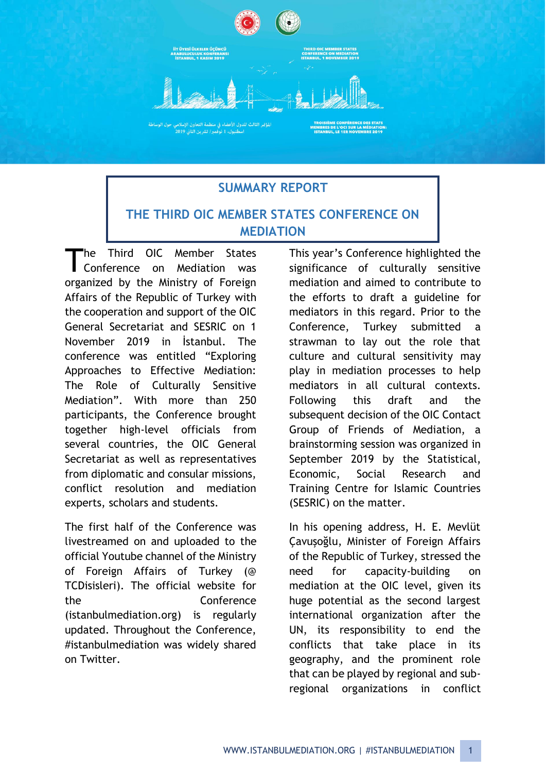

## **SUMMARY REPORT**

## **THE THIRD OIC MEMBER STATES CONFERENCE ON MEDIATION**

The Third OIC Member States Conference on Mediation was organized by the Ministry of Foreign Affairs of the Republic of Turkey with the cooperation and support of the OIC General Secretariat and SESRIC on 1 November 2019 in İstanbul. The conference was entitled "Exploring Approaches to Effective Mediation: The Role of Culturally Sensitive Mediation". With more than 250 participants, the Conference brought together high-level officials from several countries, the OIC General Secretariat as well as representatives from diplomatic and consular missions, conflict resolution and mediation experts, scholars and students. T

The first half of the Conference was livestreamed on and uploaded to the official Youtube channel of the Ministry of Foreign Affairs of Turkey (@ TCDisisleri). The official website for the Conference (istanbulmediation.org) is regularly updated. Throughout the Conference, #istanbulmediation was widely shared on Twitter.

This year's Conference highlighted the significance of culturally sensitive mediation and aimed to contribute to the efforts to draft a guideline for mediators in this regard. Prior to the Conference, Turkey submitted a strawman to lay out the role that culture and cultural sensitivity may play in mediation processes to help mediators in all cultural contexts. Following this draft and the subsequent decision of the OIC Contact Group of Friends of Mediation, a brainstorming session was organized in September 2019 by the Statistical, Economic, Social Research and Training Centre for Islamic Countries (SESRIC) on the matter.

In his opening address, H. E. Mevlüt Çavuşoğlu, Minister of Foreign Affairs of the Republic of Turkey, stressed the need for capacity-building on mediation at the OIC level, given its huge potential as the second largest international organization after the UN, its responsibility to end the conflicts that take place in its geography, and the prominent role that can be played by regional and subregional organizations in conflict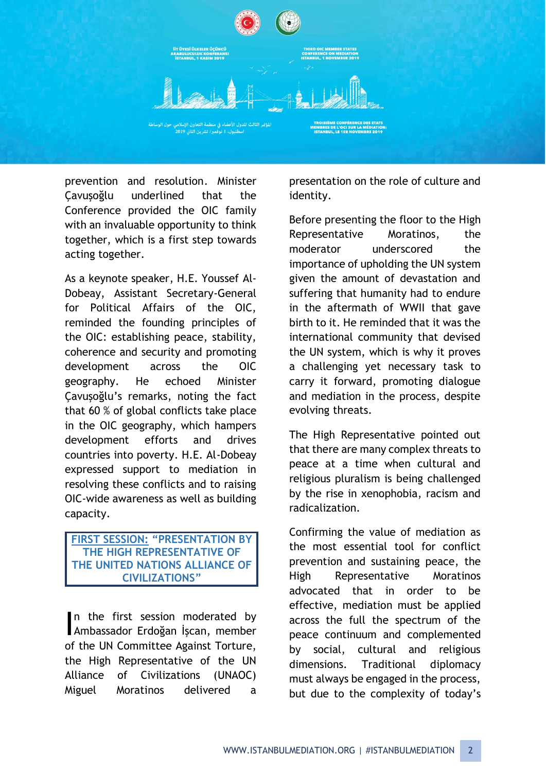

prevention and resolution. Minister Çavuşoğlu underlined that the Conference provided the OIC family with an invaluable opportunity to think together, which is a first step towards acting together.

As a keynote speaker, H.E. Youssef Al-Dobeay, Assistant Secretary-General for Political Affairs of the OIC, reminded the founding principles of the OIC: establishing peace, stability, coherence and security and promoting development across the OIC geography. He echoed Minister Çavuşoğlu's remarks, noting the fact that 60 % of global conflicts take place in the OIC geography, which hampers development efforts and drives countries into poverty. H.E. Al-Dobeay expressed support to mediation in resolving these conflicts and to raising OIC-wide awareness as well as building capacity.

### **FIRST SESSION: "PRESENTATION BY THE HIGH REPRESENTATIVE OF THE UNITED NATIONS ALLIANCE OF CIVILIZATIONS"**

In the first session moderated by n the first session moderated by<br>Ambassador Erdoğan İşcan, member of the UN Committee Against Torture, the High Representative of the UN Alliance of Civilizations (UNAOC) Miguel Moratinos delivered a

presentation on the role of culture and identity.

Before presenting the floor to the High Representative Moratinos, the moderator underscored the importance of upholding the UN system given the amount of devastation and suffering that humanity had to endure in the aftermath of WWII that gave birth to it. He reminded that it was the international community that devised the UN system, which is why it proves a challenging yet necessary task to carry it forward, promoting dialogue and mediation in the process, despite evolving threats.

The High Representative pointed out that there are many complex threats to peace at a time when cultural and religious pluralism is being challenged by the rise in xenophobia, racism and radicalization.

Confirming the value of mediation as the most essential tool for conflict prevention and sustaining peace, the High Representative Moratinos advocated that in order to be effective, mediation must be applied across the full the spectrum of the peace continuum and complemented by social, cultural and religious dimensions. Traditional diplomacy must always be engaged in the process, but due to the complexity of today's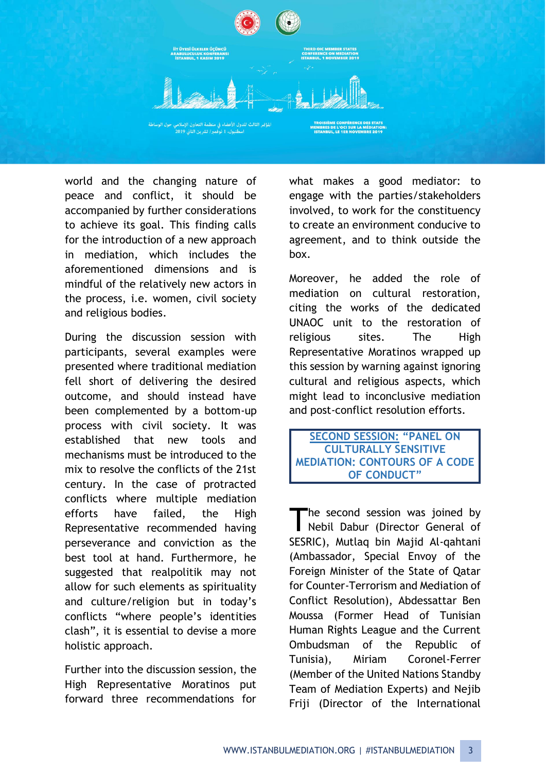

world and the changing nature of peace and conflict, it should be accompanied by further considerations to achieve its goal. This finding calls for the introduction of a new approach in mediation, which includes the aforementioned dimensions and is mindful of the relatively new actors in the process, i.e. women, civil society and religious bodies.

During the discussion session with participants, several examples were presented where traditional mediation fell short of delivering the desired outcome, and should instead have been complemented by a bottom-up process with civil society. It was established that new tools and mechanisms must be introduced to the mix to resolve the conflicts of the 21st century. In the case of protracted conflicts where multiple mediation efforts have failed, the High Representative recommended having perseverance and conviction as the best tool at hand. Furthermore, he suggested that realpolitik may not allow for such elements as spirituality and culture/religion but in today's conflicts "where people's identities clash", it is essential to devise a more holistic approach.

Further into the discussion session, the High Representative Moratinos put forward three recommendations for what makes a good mediator: to engage with the parties/stakeholders involved, to work for the constituency to create an environment conducive to agreement, and to think outside the box.

Moreover, he added the role of mediation on cultural restoration, citing the works of the dedicated UNAOC unit to the restoration of religious sites. The High Representative Moratinos wrapped up this session by warning against ignoring cultural and religious aspects, which might lead to inconclusive mediation and post-conflict resolution efforts.

**SECOND SESSION: "PANEL ON CULTURALLY SENSITIVE MEDIATION: CONTOURS OF A CODE OF CONDUCT"**

he second session was joined by The second session was joined by<br>Nebil Dabur (Director General of SESRIC), Mutlaq bin Majid Al-qahtani (Ambassador, Special Envoy of the Foreign Minister of the State of Qatar for Counter-Terrorism and Mediation of Conflict Resolution), Abdessattar Ben Moussa (Former Head of Tunisian Human Rights League and the Current Ombudsman of the Republic of Tunisia), Miriam Coronel-Ferrer (Member of the United Nations Standby Team of Mediation Experts) and Nejib Friji (Director of the International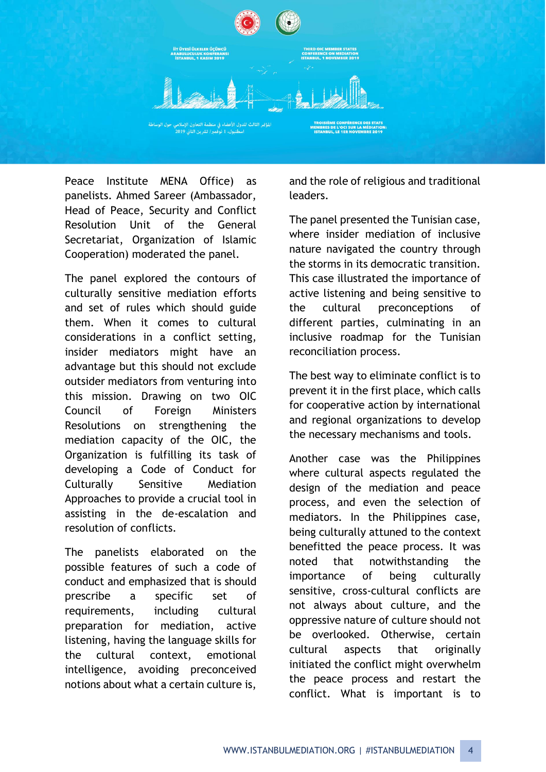

Peace Institute MENA Office) as panelists. Ahmed Sareer (Ambassador, Head of Peace, Security and Conflict Resolution Unit of the General Secretariat, Organization of Islamic Cooperation) moderated the panel.

The panel explored the contours of culturally sensitive mediation efforts and set of rules which should guide them. When it comes to cultural considerations in a conflict setting, insider mediators might have an advantage but this should not exclude outsider mediators from venturing into this mission. Drawing on two OIC Council of Foreign Ministers Resolutions on strengthening the mediation capacity of the OIC, the Organization is fulfilling its task of developing a Code of Conduct for Culturally Sensitive Mediation Approaches to provide a crucial tool in assisting in the de-escalation and resolution of conflicts.

The panelists elaborated on the possible features of such a code of conduct and emphasized that is should prescribe a specific set of requirements, including cultural preparation for mediation, active listening, having the language skills for the cultural context, emotional intelligence, avoiding preconceived notions about what a certain culture is,

and the role of religious and traditional leaders.

The panel presented the Tunisian case, where insider mediation of inclusive nature navigated the country through the storms in its democratic transition. This case illustrated the importance of active listening and being sensitive to the cultural preconceptions of different parties, culminating in an inclusive roadmap for the Tunisian reconciliation process.

The best way to eliminate conflict is to prevent it in the first place, which calls for cooperative action by international and regional organizations to develop the necessary mechanisms and tools.

Another case was the Philippines where cultural aspects regulated the design of the mediation and peace process, and even the selection of mediators. In the Philippines case, being culturally attuned to the context benefitted the peace process. It was noted that notwithstanding the importance of being culturally sensitive, cross-cultural conflicts are not always about culture, and the oppressive nature of culture should not be overlooked. Otherwise, certain cultural aspects that originally initiated the conflict might overwhelm the peace process and restart the conflict. What is important is to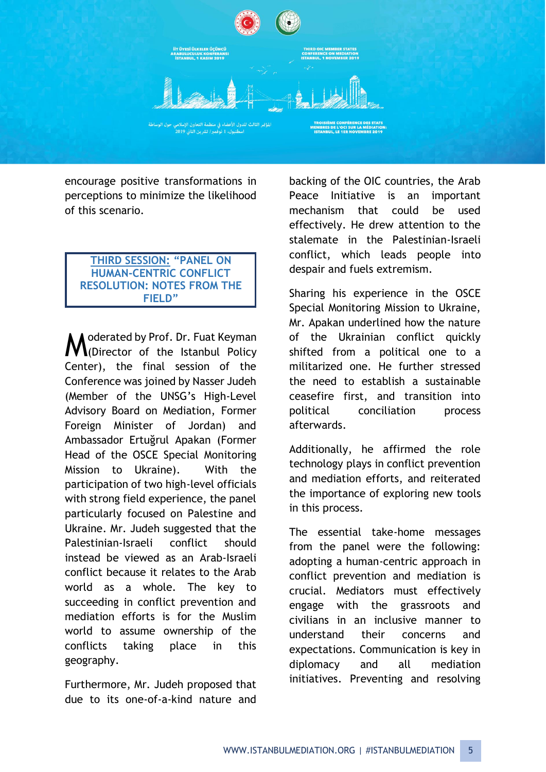

encourage positive transformations in perceptions to minimize the likelihood of this scenario.

#### **THIRD SESSION: "PANEL ON HUMAN-CENTRIC CONFLICT RESOLUTION: NOTES FROM THE FIELD"**

● derated by Prof. Dr. Fuat Keyman Moderated by Prof. Dr. Fuat Keyman<br>M(Director of the Istanbul Policy Center), the final session of the Conference was joined by Nasser Judeh (Member of the UNSG's High-Level Advisory Board on Mediation, Former Foreign Minister of Jordan) and Ambassador Ertuğrul Apakan (Former Head of the OSCE Special Monitoring Mission to Ukraine). With the participation of two high-level officials with strong field experience, the panel particularly focused on Palestine and Ukraine. Mr. Judeh suggested that the Palestinian-Israeli conflict should instead be viewed as an Arab-Israeli conflict because it relates to the Arab world as a whole. The key to succeeding in conflict prevention and mediation efforts is for the Muslim world to assume ownership of the conflicts taking place in this geography.

Furthermore, Mr. Judeh proposed that due to its one-of-a-kind nature and

backing of the OIC countries, the Arab Peace Initiative is an important mechanism that could be used effectively. He drew attention to the stalemate in the Palestinian-Israeli conflict, which leads people into despair and fuels extremism.

Sharing his experience in the OSCE Special Monitoring Mission to Ukraine, Mr. Apakan underlined how the nature of the Ukrainian conflict quickly shifted from a political one to a militarized one. He further stressed the need to establish a sustainable ceasefire first, and transition into political conciliation process afterwards.

Additionally, he affirmed the role technology plays in conflict prevention and mediation efforts, and reiterated the importance of exploring new tools in this process.

The essential take-home messages from the panel were the following: adopting a human-centric approach in conflict prevention and mediation is crucial. Mediators must effectively engage with the grassroots and civilians in an inclusive manner to understand their concerns and expectations. Communication is key in diplomacy and all mediation initiatives. Preventing and resolving